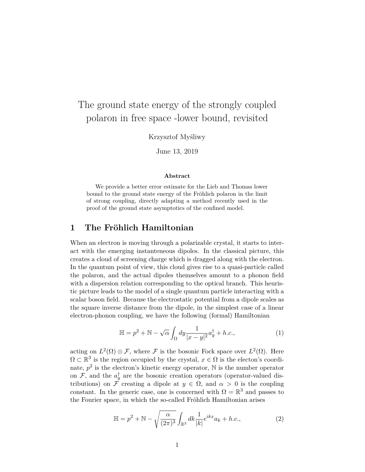# The ground state energy of the strongly coupled polaron in free space -lower bound, revisited

Krzysztof Myśliwy

June 13, 2019

#### **Abstract**

We provide a better error estimate for the Lieb and Thomas lower bound to the ground state energy of the Fröhlich polaron in the limit of strong coupling, directly adapting a method recently used in the proof of the ground state asymptotics of the confined model.

## **1 The Fröhlich Hamiltonian**

When an electron is moving through a polarizable crystal, it starts to interact with the emerging instanteneous dipoles. In the classical picture, this creates a cloud of screening charge which is dragged along with the electron. In the quantum point of view, this cloud gives rise to a quasi-particle called the polaron, and the actual dipoles themselves amount to a phonon field with a dispersion relation corresponding to the optical branch. This heuristic picture leads to the model of a single quantum particle interacting with a scalar boson field. Because the electrostatic potential from a dipole scales as the square inverse distance from the dipole, in the simplest case of a linear electron-phonon coupling, we have the following (formal) Hamiltonian

$$
\mathbb{H} = p^2 + \mathbb{N} - \sqrt{\alpha} \int_{\Omega} dy \frac{1}{|x - y|^2} a_y^{\dagger} + h.c., \tag{1}
$$

acting on  $L^2(\Omega) \otimes \mathcal{F}$ , where  $\mathcal F$  is the bosonic Fock space over  $L^2(\Omega)$ . Here  $\Omega \subset \mathbb{R}^3$  is the region occupied by the crystal,  $x \in \Omega$  is the electon's coordinate,  $p^2$  is the electron's kinetic energy operator,  $\mathbb N$  is the number operator on  $\mathcal{F}$ , and the  $a_{y}^{\dagger}$  are the bosonic creation operators (operator-valued distributions) on F creating a dipole at  $y \in \Omega$ , and  $\alpha > 0$  is the coupling constant. In the generic case, one is concerned with  $\Omega = \mathbb{R}^3$  and passes to the Fourier space, in which the so-called Fröhlich Hamiltonian arises

$$
\mathbb{H} = p^2 + \mathbb{N} - \sqrt{\frac{\alpha}{(2\pi)^3}} \int_{\mathbb{R}^3} dk \frac{1}{|k|} e^{ikx} a_k + h.c., \tag{2}
$$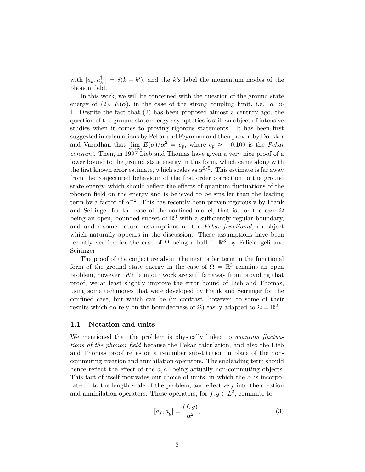with  $[a_k, a_k^{\dagger}]$  $\delta[k] = \delta(k - k')$ , and the *k*'s label the momentum modes of the phonon field.

In this work, we will be concerned with the question of the ground state energy of (2),  $E(\alpha)$ , in the case of the strong coupling limit, i.e.  $\alpha \gg$ 1. Despite the fact that (2) has been proposed almost a century ago, the question of the ground state energy asymptotics is still an object of intensive studies when it comes to proving rigorous statements. It has been first suggested in calculations by Pekar and Feynman and then proven by Donsker and Varadhan that  $\lim_{\alpha \to \infty} E(\alpha)/\alpha^2 = e_p$ , where  $e_p \approx -0.109$  is the *Pekar constant*. Then, in 1997 Lieb and Thomas have given a very nice proof of a lower bound to the ground state energy in this form, which came along with the first known error estimate, which scales as  $\alpha^{9/5}$ . This estimate is far away from the conjectured behaviour of the first order correction to the ground state energy, which should reflect the effects of quantum fluctuations of the phonon field on the energy and is believed to be smaller than the leading term by a factor of  $\alpha^{-2}$ . This has recently been proven rigorously by Frank and Seiringer for the case of the confined model, that is, for the case  $\Omega$ being an open, bounded subset of  $\mathbb{R}^3$  with a sufficiently regular boundary, and under some natural assumptions on the *Pekar functional*, an object which naturally appears in the discussion. These assumptions have been recently verified for the case of  $\Omega$  being a ball in  $\mathbb{R}^3$  by Feliciangeli and Seiringer.

The proof of the conjecture about the next order term in the functional form of the ground state energy in the case of  $\Omega = \mathbb{R}^3$  remains an open problem, however. While in our work are still far away from providing that proof, we at least slightly improve the error bound of Lieb and Thomas, using some techniques that were developed by Frank and Seiringer for the confined case, but which can be (in contrast, however, to some of their results which do rely on the boundedness of  $\Omega$ ) easily adapted to  $\Omega = \mathbb{R}^3$ .

#### **1.1 Notation and units**

We mentioned that the problem is physically linked to *quantum fluctuations of the phonon field* because the Pekar calculation, and also the Lieb and Thomas proof relies on a *c*-number substitution in place of the noncommuting creation and annihilation operators. The subleading term should hence reflect the effect of the  $a, a^{\dagger}$  being actually non-commuting objects. This fact of itself motivates our choice of units, in which the  $\alpha$  is incorporated into the length scale of the problem, and effectively into the creation and annihilation operators. These operators, for  $f, g \in L^2$ , commute to

$$
[a_f, a_g^\dagger] = \frac{(f, g)}{\alpha^2},\tag{3}
$$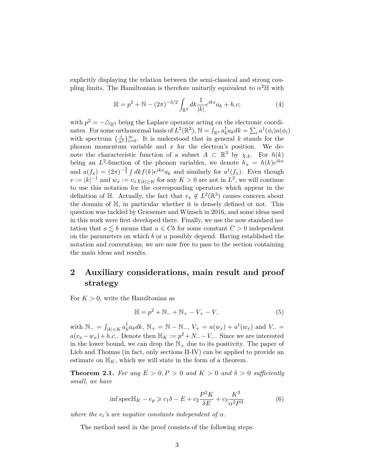explicitly displaying the relation between the semi-classical and strong coupling limits. The Hamiltonian is therefore unitarily equivalent to  $\alpha^2 \mathbb{H}$  with

$$
\mathbb{H} = p^2 + \mathbb{N} - (2\pi)^{-3/2} \int_{\mathbb{R}^3} dk \frac{1}{|k|} e^{ikx} a_k + h.c;
$$
 (4)

with  $p^2 = -\Delta_{\mathbb{R}^3}$  being the Laplace operator acting on the electronic coordinates. For some orthonormal basis of  $L^2(\mathbb{R}^3)$ ,  $\mathbb{N} = \int_{\mathbb{R}^3} a_k^{\dagger}$  $\sum_i a_i dk = \sum_i a^{\dagger}(\phi_i) a(\phi_i)$ with spectrum  $\{\frac{i}{\alpha^2}\}_{i=0}^{\infty}$ . It is understood that in general *k* stands for the phonon momentum variable and *x* for the electron's position. We denote the characteristic function of a subset  $A \subset \mathbb{R}^3$  by  $\chi_A$ . For  $h(k)$ being an  $L^2$ -function of the phonon variables, we denote  $h_x = h(k)e^{ikx}$ and  $a(f_x) = (2\pi)^{-\frac{3}{2}} \int dk f(k)e^{ikx}a_k$  and similarly for  $a^{\dagger}(f_x)$ . Even though  $v := |k|^{-1}$  and  $w_x := v_x \chi_{|k| \geq K}$  for any  $K > 0$  are not in  $L^2$ , we will continue to use this notation for the corresponding operators which appear in the definition of  $\mathbb{H}$ . Actually, the fact that  $v_x \notin L^2(\mathbb{R}^3)$  causes concern about the domain of H, in particular whether it is densely defined ot not. This question was tackled by Griesemer and Wünsch in 2016, and some ideas used in this work were first developed there. Finally, we use the now standard notation that  $a \lesssim b$  means that  $a \leq Cb$  for some constant  $C > 0$  independent on the parameters on which *b* or *a* possibly depend. Having established the notation and conventions, we are now free to pass to the section containing the main ideas and results.

## **2 Auxiliary considerations, main result and proof strategy**

For  $K > 0$ , write the Hamiltonian as

$$
\mathbb{H} = p^2 + \mathbb{N}_+ + \mathbb{N}_+ - V_+ - V_- \tag{5}
$$

with  $\mathbb{N}_- = \int_{|k| < K} a_k^{\dagger}$  $\int_{k}^{t} a_{k} dk$ ,  $\mathbb{N}_{+} = \mathbb{N} - \mathbb{N}_{-}$ ,  $V_{+} = a(w_{x}) + a^{\dagger}(w_{x})$  and  $V_{-} =$  $a(v_x - w_x) + h.c.$ . Denote then  $\mathbb{H}_K := p^2 + N - V_-.$  Since we are interested in the lower bound, we can drop the  $\mathbb{N}_+$  due to its positivity. The paper of Lieb and Thomas (in fact, only sections II-IV) can be applied to provide an estimate on  $\mathbb{H}_K$ , which we will state in the form of a theorem.

**Theorem 2.1.** For any  $E > 0, P > 0$  and  $K > 0$  and  $\delta > 0$  sufficiently *small, we have*

$$
\inf \operatorname{spec}\mathbb{H}_K - e_p \geq c_1 \delta - E + c_2 \frac{P^2 K}{\delta E} + c_3 \frac{K^3}{\alpha^2 P^3}
$$
(6)

*where the*  $c_i$ *'s* are negative constants independent of  $\alpha$ .

The method used in the proof consists of the following steps: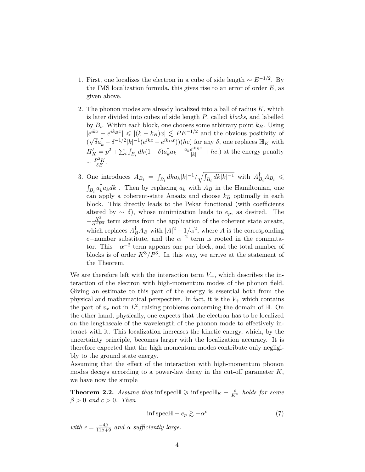- 1. First, one localizes the electron in a cube of side length  $\sim E^{-1/2}$ . By the IMS localization formula, this gives rise to an error of order *E*, as given above.
- 2. The phonon modes are already localized into a ball of radius *K*, which is later divided into cubes of side length *P*, called *blocks*, and labelled by  $B_i$ . Within each block, one chooses some arbitrary point  $k_B$ . Using  $|e^{ikx} - e^{ik_Bx}| \leq (k - k_B)x \leq PE^{-1/2}$  and the obvious positivity of (  $\sqrt{\delta}a_k^{\dagger} - \delta^{-1/2}|k|^{-1}(e^{ikx} - e^{ik_Bx}))(hc)$  for any  $\delta$ , one replaces  $\mathbb{H}_K$  with  $H'_{K} = p^{2} + \sum_{i} \int_{B_{i}} dk (1 - \delta) a_{k}^{\dagger}$  $\frac{1}{k}a_k + \frac{a_ke^{ik_Bx}}{|k|} + hc.$ ) at the energy penalty  $\sim \frac{P^2 K}{\delta E}$ .
- 3. One introduces  $A_{B_i} = \int_{B_i} dk a_k |k|^{-1} / \sqrt{\int_{B_i} dk |k|^{-1}}$  with  $A_I^{\dagger}$  $\sum_{B_i}^{\dagger} A_{B_i} \leqslant$  $\int_{B_i} a_k^{\dagger}$  $\int_{k}^{T} a_{k} dk$ . Then by replacing  $a_{k}$  with  $A_{B}$  in the Hamiltonian, one can apply a coherent-state Ansatz and choose *k<sup>B</sup>* optimally in each block. This directly leads to the Pekar functional (with coefficients altered by  $\sim \delta$ , whose minimization leads to  $e_p$ , as desired. The  $-\frac{K^3}{\alpha^2 P^3}$  term stems from the application of the coherent state ansatz, which replaces  $A_B^{\dagger}A_B$  with  $|A|^2 - 1/\alpha^2$ , where *A* is the corresponding *c*−number substitute, and the  $\alpha^{-2}$  term is rooted in the commutator. This  $-\alpha^{-2}$  term appears one per block, and the total number of blocks is of order  $K^3/P^3$ . In this way, we arrive at the statement of the Theorem.

We are therefore left with the interaction term  $V_{+}$ , which describes the interaction of the electron with high-momentum modes of the phonon field. Giving an estimate to this part of the energy is essential both from the physical and mathematical perspective. In fact, it is the  $V_{+}$  which contains the part of  $v_x$  not in  $L^2$ , raising problems concerning the domain of  $\mathbb{H}$ . On the other hand, physically, one expects that the electron has to be localized on the lengthscale of the wavelength of the phonon mode to effectively interact with it. This localization increases the kinetic energy, which, by the uncertainty principle, becomes larger with the localization accuracy. It is therefore expected that the high momentum modes contribute only negligibly to the ground state energy.

Assuming that the effect of the interaction with high-momentum phonon modes decays according to a power-law decay in the cut-off parameter *K*, we have now the simple

**Theorem 2.2.** *Assume that* inf spec $\mathbb{H} \geqslant \inf \text{spec} \mathbb{H}_K - \frac{c}{K^{\beta}}$  *holds for some β >* 0 *and c >* 0*. Then*

$$
\inf \operatorname{spec} \mathbb{H} - e_p \gtrsim -\alpha^{\epsilon} \tag{7}
$$

 $with \epsilon = \frac{-4\beta}{11\beta+9}$  *and*  $\alpha$  *sufficiently large.*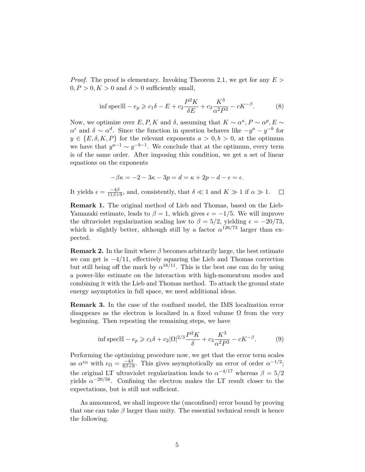*Proof.* The proof is elementary. Invoking Theorem 2.1, we get for any *E >*  $0, P > 0, K > 0$  and  $\delta > 0$  sufficiently small,

$$
\inf \operatorname{spec}\mathbb{H} - e_p \geqslant c_1 \delta - E + c_2 \frac{P^2 K}{\delta E} + c_3 \frac{K^3}{\alpha^2 P^3} - cK^{-\beta}.\tag{8}
$$

Now, we optimize over  $E, P, K$  and  $\delta$ , assuming that  $K \sim \alpha^{\kappa}, P \sim \alpha^p, E \sim$  $\alpha^{\epsilon}$  and  $\delta \sim \alpha^{d}$ . Since the function in question behaves like  $-y^{a} - y^{-b}$  for  $y \in \{E, \delta, K, P\}$  for the relevant exponents  $a > 0, b > 0$ , at the optimum we have that  $y^{a-1} \sim y^{-b-1}$ . We conclude that at the optimum, every term is of the same order. After imposing this condition, we get a set of linear equations on the exponents

$$
-\beta \kappa = -2 - 3\kappa - 3p = d = \kappa + 2p - d - \epsilon = \epsilon.
$$

It yields  $\epsilon = \frac{-4\beta}{11\beta + 9}$ , and, consistently, that  $\delta \ll 1$  and  $K \gg 1$  if  $\alpha \gg 1$ .  $\Box$ 

**Remark 1.** The original method of Lieb and Thomas, based on the Lieb-Yamazaki estimate, leads to  $\beta = 1$ , which gives  $\epsilon = -1/5$ . We will improve the ultraviolet regularization scaling law to  $\beta = 5/2$ , yielding  $\epsilon = -20/73$ , which is slightly better, although still by a factor  $\alpha^{126/73}$  larger than expected.

**Remark 2.** In the limit where  $\beta$  becomes arbitrarily large, the best estimate we can get is −4*/*11, effectively squaring the Lieb and Thomas correction but still being off the mark by  $\alpha^{18/11}$ . This is the best one can do by using a power-like estimate on the interaction with high-momentum modes and combining it with the Lieb and Thomas method. To attack the ground state energy asymptotics in full space, we need additional ideas.

**Remark 3.** In the case of the confined model, the IMS localization error disappears as the electron is localized in a fixed volume  $\Omega$  from the very beginning. Then repeating the remaining steps, we have

$$
\inf \operatorname{spec} \mathbb{H} - e_p \geqslant c_1 \delta + c_2 |\Omega|^{2/3} \frac{P^2 K}{\delta} + c_3 \frac{K^3}{\alpha^2 P^3} - cK^{-\beta}.
$$
 (9)

Performing the optimizing procedure now, we get that the error term scales as  $\alpha^{\epsilon_{\Omega}}$  with  $\epsilon_{\Omega} = \frac{-4\beta}{8\beta + 9}$ . This gives asymptotically an error of order  $\alpha^{-1/2}$ ; the original LT ultraviolet regularization leads to  $\alpha^{-4/17}$  whereas  $\beta = 5/2$ yields  $\alpha^{-20/58}$ . Confining the electron makes the LT result closer to the expectations, but is still not sufficient.

As announced, we shall improve the (unconfined) error bound by proving that one can take  $\beta$  larger than unity. The essential technical result is hence the following.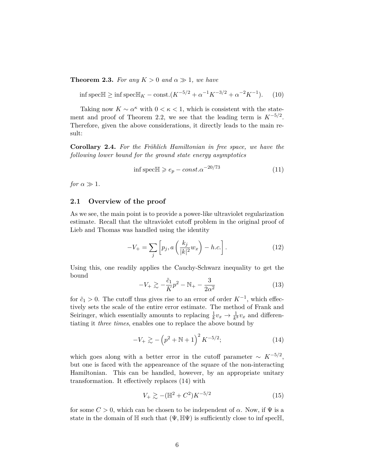**Theorem 2.3.** *For any*  $K > 0$  *and*  $\alpha \gg 1$ *, we have* 

 $\inf \text{spec}\mathbb{H}$  ≥  $\inf \text{spec}\mathbb{H}_K - \text{const.}(K^{-5/2} + \alpha^{-1}K^{-3/2} + \alpha^{-2}K^{-1})$ )*.* (10)

Taking now  $K \sim \alpha^{\kappa}$  with  $0 < \kappa < 1$ , which is consistent with the statement and proof of Theorem 2.2, we see that the leading term is  $K^{-5/2}$ . Therefore, given the above considerations, it directly leads to the main result:

**Corollary 2.4.** *For the Fröhlich Hamiltonian in free space, we have the following lower bound for the ground state energy asymptotics*

$$
\inf \text{spec} \mathbb{H} \geqslant e_p - const. \alpha^{-20/73} \tag{11}
$$

*for*  $\alpha \gg 1$ *.* 

#### **2.1 Overview of the proof**

As we see, the main point is to provide a power-like ultraviolet regularization estimate. Recall that the ultraviolet cutoff problem in the original proof of Lieb and Thomas was handled using the identity

$$
-V_{+} = \sum_{j} \left[ p_j, a \left( \frac{k_j}{|k|^2} w_x \right) - h.c. \right]. \tag{12}
$$

Using this, one readily applies the Cauchy-Schwarz inequality to get the bound

$$
-V_{+} \gtrsim -\frac{\tilde{c}_{1}}{K}p^{2} - \mathbb{N}_{+} - \frac{3}{2\alpha^{2}}
$$
 (13)

for  $\tilde{c}_1 > 0$ . The cutoff thus gives rise to an error of order  $K^{-1}$ , which effectively sets the scale of the entire error estimate. The method of Frank and Seiringer, which essentially amounts to replacing  $\frac{1}{k}v_x \to \frac{1}{k^3}v_x$  and differentiating it *three times*, enables one to replace the above bound by

$$
-V_{+} \gtrsim -\left(p^2 + \mathbb{N} + 1\right)^2 K^{-5/2};\tag{14}
$$

which goes along with a better error in the cutoff parameter  $\sim K^{-5/2}$ , but one is faced with the appeareance of the square of the non-interacting Hamiltonian. This can be handled, however, by an appropriate unitary transformation. It effectively replaces (14) with

$$
V_{+} \gtrsim -(\mathbb{H}^{2} + C^{2})K^{-5/2}
$$
 (15)

for some  $C > 0$ , which can be chosen to be independent of  $\alpha$ . Now, if  $\Psi$  is a state in the domain of  $\mathbb H$  such that  $(\Psi, \mathbb H \Psi)$  is sufficiently close to inf specH,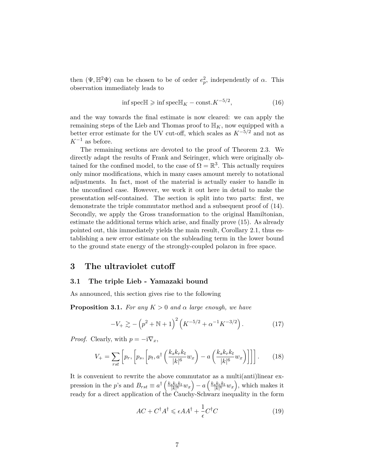then  $(\Psi, \mathbb{H}^2 \Psi)$  can be chosen to be of order  $e_p^2$ , independently of  $\alpha$ . This observation immediately leads to

$$
\inf \text{spec} \mathbb{H} \geqslant \inf \text{spec} \mathbb{H}_K - \text{const.} K^{-5/2},\tag{16}
$$

and the way towards the final estimate is now cleared: we can apply the remaining steps of the Lieb and Thomas proof to  $\mathbb{H}_K$ , now equipped with a better error estimate for the UV cut-off, which scales as  $K^{-5/2}$  and not as  $K^{-1}$  as before.

The remaining sections are devoted to the proof of Theorem 2.3. We directly adapt the results of Frank and Seiringer, which were originally obtained for the confined model, to the case of  $\Omega = \mathbb{R}^3$ . This actually requires only minor modifications, which in many cases amount merely to notational adjustments. In fact, most of the material is actually easier to handle in the unconfined case. However, we work it out here in detail to make the presentation self-contained. The section is split into two parts: first, we demonstrate the triple commutator method and a subsequent proof of (14). Secondly, we apply the Gross transformation to the original Hamiltonian, estimate the additional terms which arise, and finally prove (15). As already pointed out, this immediately yields the main result, Corollary 2.1, thus establishing a new error estimate on the subleading term in the lower bound to the ground state energy of the strongly-coupled polaron in free space.

### **3 The ultraviolet cutoff**

#### **3.1 The triple Lieb - Yamazaki bound**

As announced, this section gives rise to the following

**Proposition 3.1.** *For any*  $K > 0$  *and*  $\alpha$  *large enough, we have* 

$$
-V_{+} \gtrsim -\left(p^2 + \mathbb{N} + 1\right)^2 \left(K^{-5/2} + \alpha^{-1} K^{-3/2}\right). \tag{17}
$$

*Proof.* Clearly, with  $p = -i\nabla_x$ ,

$$
V_{+} = \sum_{rst} \left[ p_r, \left[ p_s, \left[ p_t, a^{\dagger} \left( \frac{k_s k_r k_t}{|k|^6} w_x \right) - a \left( \frac{k_s k_r k_t}{|k|^6} w_x \right) \right] \right] \right]. \tag{18}
$$

It is convenient to rewrite the above commutator as a multi(anti)linear expression in the p's and  $B_{rst} \equiv a^{\dagger} \left( \frac{k_s k_r k_t}{|k|^6} w_x \right) - a \left( \frac{k_s k_r k_t}{|k|^6} w_x \right)$ , which makes it ready for a direct application of the Cauchy-Schwarz inequality in the form

$$
AC + C^{\dagger} A^{\dagger} \leqslant \epsilon A A^{\dagger} + \frac{1}{\epsilon} C^{\dagger} C \tag{19}
$$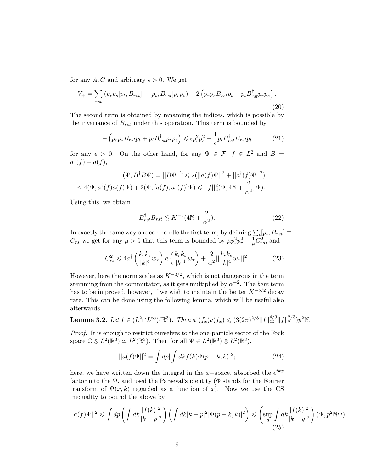for any A, C and arbitrary  $\epsilon > 0$ . We get

$$
V_{+} = \sum_{rst} (p_{r} p_{s} [p_{t}, B_{rst}] + [p_{t}, B_{rst}] p_{r} p_{s}) - 2 (p_{r} p_{s} B_{rst} p_{t} + p_{t} B_{rst}^{\dagger} p_{r} p_{s}).
$$
\n(20)

The second term is obtained by renaming the indices, which is possible by the invariance of  $B_{rst}$  under this operation. This term is bounded by

$$
-\left(p_r p_s B_{rst} p_t + p_t B_{rst}^\dagger p_r p_s\right) \leqslant \epsilon p_r^2 p_s^2 + \frac{1}{\epsilon} p_t B_{rst}^\dagger B_{rst} p_t \tag{21}
$$

for any  $\epsilon > 0$ . On the other hand, for any  $\Psi \in \mathcal{F}$ ,  $f \in L^2$  and  $B =$  $a^{\dagger}(f) - a(f)$ ,

$$
(\Psi, B^{\dagger} B \Psi) = ||B\Psi||^2 \leq 2(||a(f)\Psi||^2 + ||a^{\dagger}(f)\Psi||^2)
$$
  

$$
\leq 4(\Psi, a^{\dagger}(f)a(f)\Psi) + 2(\Psi, [a(f), a^{\dagger}(f)]\Psi) \leq ||f||_2^2(\Psi, 4\mathbb{N} + \frac{2}{\alpha^2}, \Psi).
$$

Using this, we obtain

$$
B_{rst}^{\dagger} B_{rst} \lesssim K^{-5} (4\mathbb{N} + \frac{2}{\alpha^2}). \tag{22}
$$

In exactly the same way one can handle the first term; by defining  $\sum_{t} [p_t, B_{rst}] \equiv$  $C_{rs}$  we get for any  $\mu > 0$  that this term is bounded by  $\mu p_s^2 p_r^2 + \frac{1}{\mu}$  $\frac{1}{\mu}C_{rs}^2$ , and

$$
C_{rs}^2 \leq 4a^\dagger \left(\frac{k_r k_s}{|k|^4} w_x\right) a \left(\frac{k_r k_s}{|k|^4} w_x\right) + \frac{2}{\alpha^2} ||\frac{k_r k_s}{|k|^4} w_x||^2. \tag{23}
$$

However, here the norm scales as *K*−3*/*<sup>2</sup> , which is not dangerous in the term stemming from the commutator, as it gets multiplied by  $\alpha^{-2}$ . The *bare* term has to be improved, however, if we wish to maintain the better  $K^{-5/2}$  decay rate. This can be done using the following lemma, which will be useful also afterwards.

**Lemma 3.2.** Let 
$$
f \in (L^2 \cap L^{\infty})(\mathbb{R}^3)
$$
. Then  $a^{\dagger}(f_x)a(f_x) \leq (3(2\pi)^{2/3}||f||_{\infty}^{4/3}||f||_2^{2/3})p^2\mathbb{N}$ .

*Proof.* It is enough to restrict ourselves to the one-particle sector of the Fock space  $\mathbb{C} \otimes L^2(\mathbb{R}^3) \simeq L^2(\mathbb{R}^3)$ . Then for all  $\Psi \in L^2(\mathbb{R}^3) \otimes L^2(\mathbb{R}^3)$ ,

$$
||a(f)\Psi||^2 = \int dp|\int dk f(k)\Phi(p-k,k)|^2; \tag{24}
$$

here, we have written down the integral in the *x*−space, absorbed the *e ikx* factor into the  $\Psi$ , and used the Parseval's identity ( $\Phi$  stands for the Fourier transform of  $\Psi(x, k)$  regarded as a function of x. Now we use the CS inequality to bound the above by

$$
||a(f)\Psi||^2 \leqslant \int dp \left(\int dk \frac{|f(k)|^2}{|k-p|^2}\right) \left(\int dk |k-p|^2 |\Phi(p-k,k)|^2\right) \leqslant \left(\sup_q \int dk \frac{|f(k)|^2}{|k-q|^2}\right) (\Psi, p^2 \mathbb{N} \Psi).
$$
\n(25)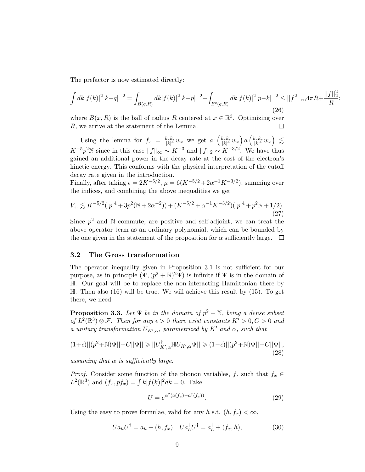The prefactor is now estimated directly:

$$
\int dk |f(k)|^2 |k-q|^{-2} = \int_{B(q,R)} dk |f(k)|^2 |k-p|^{-2} + \int_{B^c(q,R)} dk |f(k)|^2 |p-k|^{-2} \le ||f^2||_{\infty} 4\pi R + \frac{||f||_2^2}{R};
$$
\n(26)

where  $B(x, R)$  is the ball of radius R centered at  $x \in \mathbb{R}^3$ . Optimizing over *R*, we arrive at the statement of the Lemma.  $\Box$ 

Using the lemma for  $f_x = \frac{k_r k_s}{|k|^4} w_x$  we get  $a^{\dagger} \left( \frac{k_r k_s}{|k|^4} w_x \right) a \left( \frac{k_r k_s}{|k|^4} w_x \right) \lesssim$  $K^{-5}p^2\mathbb{N}$  since in this case  $||f||_{\infty} \sim K^{-3}$  and  $||f||_2 \sim K^{-3/2}$ . We have thus gained an additional power in the decay rate at the cost of the electron's kinetic energy. This conforms with the physical interpretation of the cutoff decay rate given in the introduction.

Finally, after taking  $\epsilon = 2K^{-5/2}$ ,  $\mu = 6(K^{-5/2} + 2\alpha^{-1}K^{-3/2})$ , summing over the indices, and combining the above inequalities we get

$$
V_{+} \lesssim K^{-5/2}(|p|^4 + 3p^2(\mathbb{N} + 2\alpha^{-2})) + (K^{-5/2} + \alpha^{-1}K^{-3/2})(|p|^4 + p^2\mathbb{N} + 1/2).
$$
\n(27)

Since  $p^2$  and  $\mathbb N$  commute, are positive and self-adjoint, we can treat the above operator term as an ordinary polynomial, which can be bounded by the one given in the statement of the proposition for  $\alpha$  sufficiently large.  $\Box$ 

#### **3.2 The Gross transformation**

The operator inequality given in Proposition 3.1 is not sufficient for our purpose, as in principle  $(\Psi, (p^2 + \mathbb{N})^2 \Psi)$  is infinite if  $\Psi$  is in the domain of H. Our goal will be to replace the non-interacting Hamiltonian there by  $\mathbb{H}$ . Then also (16) will be true. We will achieve this result by (15). To get there, we need

**Proposition 3.3.** Let  $\Psi$  be in the domain of  $p^2 + \mathbb{N}$ , being a dense subset *of*  $L^2(\mathbb{R}^3) \otimes \mathcal{F}$ *. Then for any*  $\epsilon > 0$  *there exist constants*  $K' > 0, C > 0$  *and a unitary transformation*  $U_{K',\alpha}$ , parametrized by  $K'$  and  $\alpha$ , such that

$$
(1+\epsilon)||(p^2+\mathbb{N})\Psi||+C||\Psi|| \geq ||U^{\dagger}_{K',\alpha}\mathbb{H}U_{K',\alpha}\Psi|| \geq (1-\epsilon)||(p^2+\mathbb{N})\Psi||-C||\Psi||,
$$
\n(28)

*assuming that α is sufficiently large.*

*Proof.* Consider some function of the phonon variables, *f*, such that  $f_x \in$  $L^2(\mathbb{R}^3)$  and  $(f_x, pf_x) = \int k|f(k)|^2 dk = 0$ . Take

$$
U = e^{\alpha^2 (a(f_x) - a^\dagger (f_x))}.
$$
\n(29)

Using the easy to prove formulae, valid for any *h* s.t.  $(h, f_x) < \infty$ ,

$$
Ua_hU^{\dagger} = a_h + (h, f_x) \quad Ua_h^{\dagger}U^{\dagger} = a_h^{\dagger} + (f_x, h), \tag{30}
$$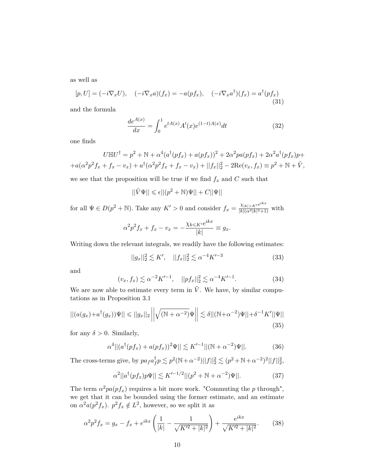as well as

$$
[p, U] = (-i\nabla_x U), \quad (-i\nabla_x a)(f_x) = -a(pf_x), \quad (-i\nabla_x a^{\dagger})(f_x) = a^{\dagger}(pf_x)
$$
\n(31)

and the formula

$$
\frac{de^{A(x)}}{dx} = \int_0^1 e^{tA(x)} A'(x) e^{(1-t)A(x)} dt
$$
\n(32)

one finds

$$
U\mathbb{H}U^{\dagger} = p^2 + \mathbb{N} + \alpha^4 (a^{\dagger}(pf_x) + a(pf_x))^2 + 2\alpha^2 pa(pf_x) + 2\alpha^2 a^{\dagger}(pf_x)p +
$$
  
+
$$
+a(\alpha^2 p^2 f_x + f_x - v_x) + a^{\dagger}(\alpha^2 p^2 f_x + f_x - v_x) + ||f_x||_2^2 - 2\text{Re}(v_x, f_x) \equiv p^2 + \mathbb{N} + \tilde{V},
$$

we see that the proposition will be true if we find  $f_x$  and  $C$  such that

$$
||\tilde{V}\Psi|| \leq \epsilon ||(p^2 + \mathbb{N})\Psi|| + C||\Psi||
$$

for all  $\Psi \in D(p^2 + \mathbb{N})$ . Take any  $K' > 0$  and consider  $f_x = \frac{\chi_{|k| > K'} e^{ikx}}{|k| (n^2 |k|^2 + 1)}$  $\frac{\chi_{|k|>K'}c}{|k|(\alpha^2|k|^2+1)}$  with

$$
\alpha^2 p^2 f_x + f_x - v_x = -\frac{\chi_{k \leqslant K'} e^{ikx}}{|k|} \equiv g_x.
$$

Writing down the relevant integrals, we readily have the following estimates:

$$
||g_x||_2^2 \lesssim K', \quad ||f_x||_2^2 \lesssim \alpha^{-4} K'^{-3} \tag{33}
$$

and

$$
(v_x, f_x) \lesssim \alpha^{-2} K'^{-1}, \quad ||pf_x||_2^2 \lesssim \alpha^{-4} K'^{-1}.
$$
 (34)

We are now able to estimate every term in  $V$ . We have, by similar computations as in Proposition 3.1

$$
||(a(g_x) + a^\dagger(g_x))\Psi|| \le ||g_x||_2 \left| \left| \sqrt{(\mathbb{N} + \alpha^{-2})} \Psi \right| \right| \lesssim \delta ||(\mathbb{N} + \alpha^{-2}) \Psi|| + \delta^{-1} K' ||\Psi|| \tag{35}
$$

for any  $\delta > 0$ . Similarly,

$$
\alpha^4 || (a^{\dagger} (pf_x) + a (pf_x))^2 \Psi || \lesssim K'^{-1} || (\mathbb{N} + \alpha^{-2}) \Psi ||. \tag{36}
$$

The cross-terms give, by  $pa_f a_f^{\dagger}$  $f_p^{\dagger} p \lesssim p^2 (\mathbb{N} + \alpha^{-2}) ||f||_2^2 \lesssim (p^2 + \mathbb{N} + \alpha^{-2})^2 ||f||_2^2,$ 

$$
\alpha^2 ||a^{\dagger}(pf_x)p\Psi|| \lesssim K'^{-1/2} ||(p^2 + \mathbb{N} + \alpha^{-2})\Psi||. \tag{37}
$$

The term  $\alpha^2 pa(p f_x)$  requires a bit more work. "Commuting the *p* through", we get that it can be bounded using the former estimate, and an estimate on  $\alpha^2 a(p^2 f_x)$ .  $p^2 f_x \notin L^2$ , however, so we split it as

$$
\alpha^2 p^2 f_x = g_x - f_x + e^{ikx} \left( \frac{1}{|k|} - \frac{1}{\sqrt{K'^2 + |k|^2}} \right) + \frac{e^{ikx}}{\sqrt{K'^2 + |k|^2}}.
$$
 (38)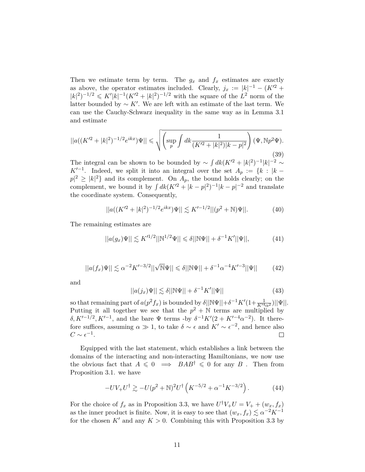Then we estimate term by term. The  $g_x$  and  $f_x$  estimates are exactly as above, the operator estimates included. Clearly,  $j_x := |k|^{-1} - (K^2 +$  $|k|^2$ <sup> $-1/2$ </sup>  $\leqslant K'|k|^{-1}(K^2+|k|^2)^{-1/2}$  with the square of the  $L^2$  norm of the latter bounded by  $\sim K'$ . We are left with an estimate of the last term. We can use the Cauchy-Schwarz inequality in the same way as in Lemma 3.1 and estimate

$$
||a((K'^{2}+|k|^{2})^{-1/2}e^{ikx})\Psi|| \leq \sqrt{\left(\sup_{p}\int dk \frac{1}{(K'^{2}+|k|^{2})|k-p|^{2}}\right)(\Psi,\mathbb{N}p^{2}\Psi)}.
$$
\n(39)

The integral can be shown to be bounded by  $\sim \int dk (K^2 + |k|^2)^{-1} |k|^{-2} \sim$  $K'^{-1}$ . Indeed, we split it into an integral over the set  $A_p := \{k : |k - p|$  $p \mid 2 \geq |k|^2$  and its complement. On  $A_p$ , the bound holds clearly; on the complement, we bound it by  $\int dk (K^2 + |k - p|^2)^{-1} |k - p|^{-2}$  and translate the coordinate system. Consequently,

$$
||a((K^{\prime 2}+|k|^2)^{-1/2}e^{ikx})\Psi|| \lesssim K^{\prime -1/2}||(p^2+\mathbb{N})\Psi||. \tag{40}
$$

The remaining estimates are

$$
||a(g_x)\Psi|| \lesssim K'^{1/2}||\mathbb{N}^{1/2}\Psi|| \leq \delta||\mathbb{N}\Psi|| + \delta^{-1}K'||\Psi||,
$$
 (41)

$$
||a(f_x)\Psi|| \lesssim \alpha^{-2} K'^{-3/2} ||\sqrt{N} \Psi|| \le \delta ||N\Psi|| + \delta^{-1} \alpha^{-4} K'^{-3} ||\Psi|| \qquad (42)
$$

and

$$
||a(j_x)\Psi|| \lesssim \delta||\mathbb{N}\Psi|| + \delta^{-1}K'||\Psi|| \tag{43}
$$

so that remaining part of  $a(p^2 f_x)$  is bounded by  $\delta ||N \Psi|| + \delta^{-1} K'(1 + \frac{1}{K'^4 \alpha^2}) ||\Psi||$ . Putting it all together we see that the  $p^2 + \mathbb{N}$  terms are multiplied by *δ*, *K*<sup> $1-1/2$ </sup>, *K*<sup> $1-1$ </sup>, and the bare Ψ terms -by *δ*<sup>-1</sup>*K*<sup> $1$ </sup>(2 + *K*<sup> $1-4$ </sup>α<sup>-2</sup>). It therefore suffices, assuming  $\alpha \gg 1$ , to take  $\delta \sim \epsilon$  and  $K' \sim \epsilon^{-2}$ , and hence also  $C \sim \epsilon^{-1}.$ 

Equipped with the last statement, which establishes a link between the domains of the interacting and non-interacting Hamiltonians, we now use the obvious fact that  $A \leq 0 \implies BAB^{\dagger} \leq 0$  for any *B*. Then from Proposition 3.1. we have

$$
-UV_{+}U^{\dagger} \gtrsim -U(p^{2} + \mathbb{N})^{2}U^{\dagger} \left( K^{-5/2} + \alpha^{-1} K^{-3/2} \right). \tag{44}
$$

For the choice of  $f_x$  as in Proposition 3.3, we have  $U^{\dagger}V_+U = V_+ + (w_x, f_x)$ as the inner product is finite. Now, it is easy to see that  $(w_x, f_x) \lesssim \alpha^{-2} K^{-1}$ for the chosen  $K'$  and any  $K > 0$ . Combining this with Proposition 3.3 by